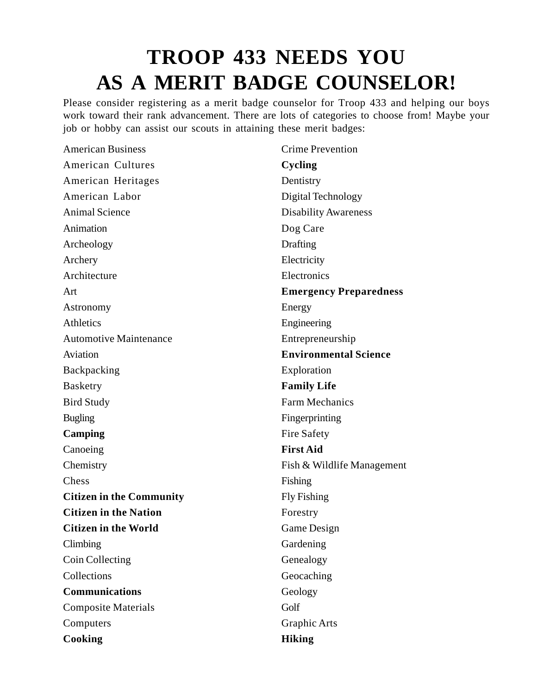## **TROOP 433 NEEDS YOU AS A MERIT BADGE COUNSELOR!**

Please consider registering as a merit badge counselor for Troop 433 and helping our boys work toward their rank advancement. There are lots of categories to choose from! Maybe your job or hobby can assist our scouts in attaining these merit badges:

American Business American Cultures American Heritages American Labor Animal Science Animation Archeology Archery Architecture Art Astronomy **Athletics** Automotive Maintenance Aviation Backpacking Basketry Bird Study Bugling **Camping** Canoeing **Chemistry** Chess **Citizen in the Community Citizen in the Nation Citizen in the World** Climbing Coin Collecting Collections **Communications** Composite Materials Computers **Cooking** Crime Prevention **Cycling Dentistry** Digital Technology Disability Awareness Dog Care **Drafting** Electricity **Electronics Emergency Preparedness** Energy Engineering Entrepreneurship **Environmental Science** Exploration **Family Life** Farm Mechanics Fingerprinting Fire Safety **First Aid** Fish & Wildlife Management Fishing Fly Fishing Forestry Game Design Gardening Genealogy Geocaching Geology Golf Graphic Arts **Hiking**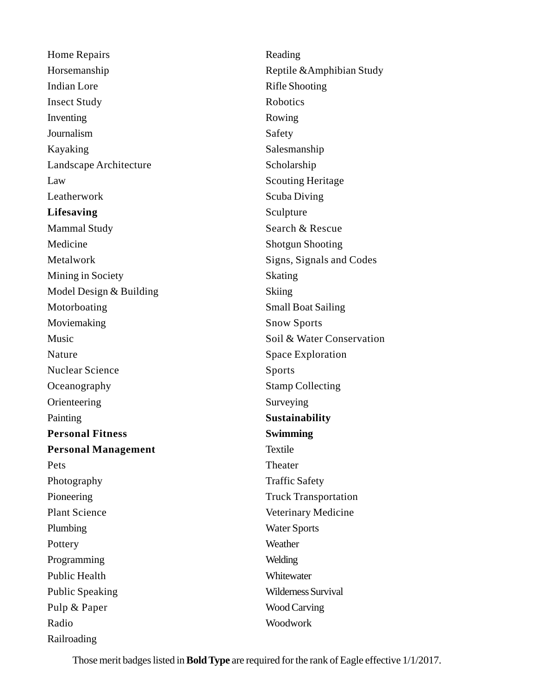Home Repairs Horsemanship Indian Lore Insect Study Inventing Journalism Kayaking Landscape Architecture Law Leatherwork **Lifesaving** Mammal Study Medicine Metalwork Mining in Society Model Design & Building Motorboating Moviemaking Music Nature Nuclear Science **Oceanography** Orienteering Painting **Personal Fitness Personal Management** Pets Photography Pioneering Plant Science Plumbing **Pottery** Programming Public Health Public Speaking Pulp & Paper Radio Railroading

Reading Reptile &Amphibian Study Rifle Shooting Robotics Rowing Safety Salesmanship Scholarship Scouting Heritage Scuba Diving Sculpture Search & Rescue Shotgun Shooting Signs, Signals and Codes Skating **Skiing** Small Boat Sailing Snow Sports Soil & Water Conservation Space Exploration Sports Stamp Collecting Surveying **Sustainability Swimming** Textile Theater Traffic Safety Truck Transportation Veterinary Medicine Water Sports Weather Welding **Whitewater** Wilderness Survival Wood Carving Woodwork

Those merit badges listed in **Bold Type** are required for the rank of Eagle effective 1/1/2017.